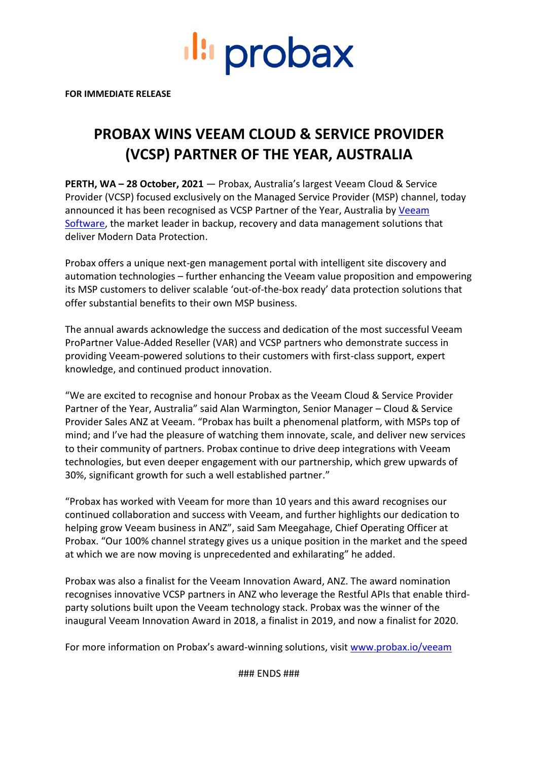**Illi probax** 

**FOR IMMEDIATE RELEASE**

## **PROBAX WINS VEEAM CLOUD & SERVICE PROVIDER (VCSP) PARTNER OF THE YEAR, AUSTRALIA**

**PERTH, WA – 28 October, 2021** — Probax, Australia's largest Veeam Cloud & Service Provider (VCSP) focused exclusively on the Managed Service Provider (MSP) channel, today announced it has been recognised as VCSP Partner of the Year, Australia by [Veeam](https://www.veeam.com/)  [Software,](https://www.veeam.com/) the market leader in backup, recovery and data management solutions that deliver Modern Data Protection.

Probax offers a unique next-gen management portal with intelligent site discovery and automation technologies – further enhancing the Veeam value proposition and empowering its MSP customers to deliver scalable 'out-of-the-box ready' data protection solutions that offer substantial benefits to their own MSP business.

The annual awards acknowledge the success and dedication of the most successful Veeam ProPartner Value-Added Reseller (VAR) and VCSP partners who demonstrate success in providing Veeam-powered solutions to their customers with first-class support, expert knowledge, and continued product innovation.

"We are excited to recognise and honour Probax as the Veeam Cloud & Service Provider Partner of the Year, Australia" said Alan Warmington, Senior Manager – Cloud & Service Provider Sales ANZ at Veeam. "Probax has built a phenomenal platform, with MSPs top of mind; and I've had the pleasure of watching them innovate, scale, and deliver new services to their community of partners. Probax continue to drive deep integrations with Veeam technologies, but even deeper engagement with our partnership, which grew upwards of 30%, significant growth for such a well established partner."

"Probax has worked with Veeam for more than 10 years and this award recognises our continued collaboration and success with Veeam, and further highlights our dedication to helping grow Veeam business in ANZ", said Sam Meegahage, Chief Operating Officer at Probax. "Our 100% channel strategy gives us a unique position in the market and the speed at which we are now moving is unprecedented and exhilarating" he added.

Probax was also a finalist for the Veeam Innovation Award, ANZ. The award nomination recognises innovative VCSP partners in ANZ who leverage the Restful APIs that enable thirdparty solutions built upon the Veeam technology stack. Probax was the winner of the inaugural Veeam Innovation Award in 2018, a finalist in 2019, and now a finalist for 2020.

For more information on Probax's award-winning solutions, visit [www.probax.io/veeam](http://www.probax.io/veeam)

### ENDS ###